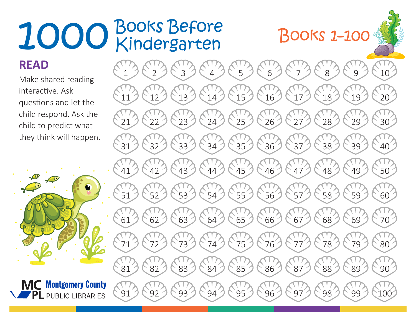## Books Before Kindergarten 1000 Books Before<br>Books 1–100

## **READ**

Make shared reading interactive. Ask questions and let the child respond. Ask the child to predict what they think will happen.